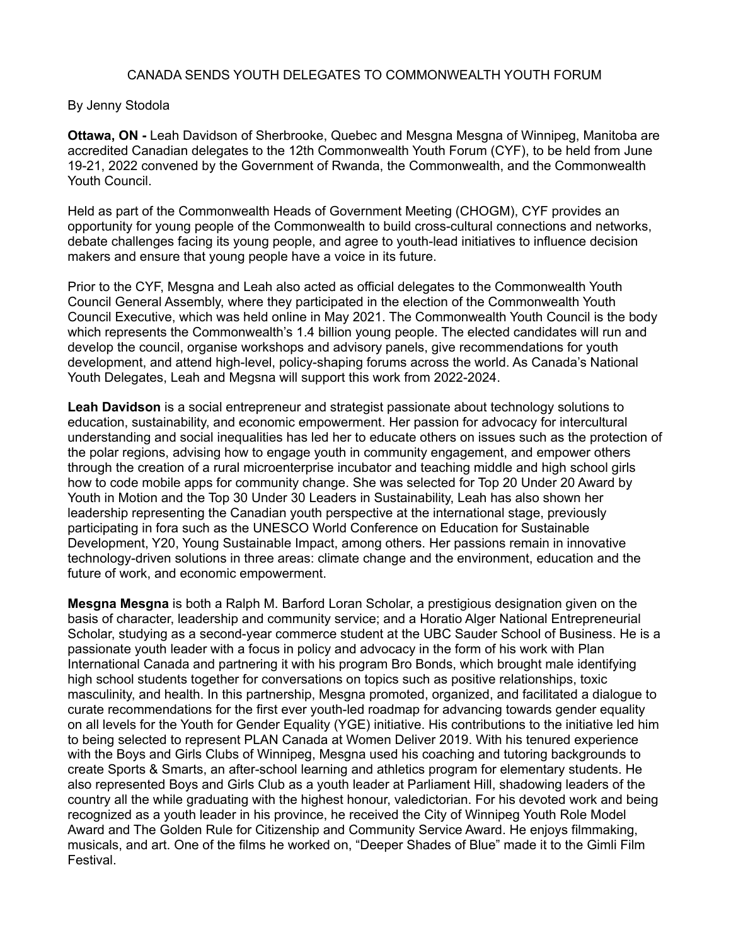## CANADA SENDS YOUTH DELEGATES TO COMMONWEALTH YOUTH FORUM

## By Jenny Stodola

**Ottawa, ON -** Leah Davidson of Sherbrooke, Quebec and Mesgna Mesgna of Winnipeg, Manitoba are accredited Canadian delegates to the 12th Commonwealth Youth Forum (CYF), to be held from June 19-21, 2022 convened by the Government of Rwanda, the Commonwealth, and the Commonwealth Youth Council.

Held as part of the Commonwealth Heads of Government Meeting (CHOGM), CYF provides an opportunity for young people of the Commonwealth to build cross-cultural connections and networks, debate challenges facing its young people, and agree to youth-lead initiatives to influence decision makers and ensure that young people have a voice in its future.

Prior to the CYF, Mesgna and Leah also acted as official delegates to the Commonwealth Youth Council General Assembly, where they participated in the election of the Commonwealth Youth Council Executive, which was held online in May 2021. The Commonwealth Youth Council is the body which represents the Commonwealth's 1.4 billion young people. The elected candidates will run and develop the council, organise workshops and advisory panels, give recommendations for youth development, and attend high-level, policy-shaping forums across the world. As Canada's National Youth Delegates, Leah and Megsna will support this work from 2022-2024.

**Leah Davidson** is a social entrepreneur and strategist passionate about technology solutions to education, sustainability, and economic empowerment. Her passion for advocacy for intercultural understanding and social inequalities has led her to educate others on issues such as the protection of the polar regions, advising how to engage youth in community engagement, and empower others through the creation of a rural microenterprise incubator and teaching middle and high school girls how to code mobile apps for community change. She was selected for Top 20 Under 20 Award by Youth in Motion and the Top 30 Under 30 Leaders in Sustainability, Leah has also shown her leadership representing the Canadian youth perspective at the international stage, previously participating in fora such as the UNESCO World Conference on Education for Sustainable Development, Y20, Young Sustainable Impact, among others. Her passions remain in innovative technology-driven solutions in three areas: climate change and the environment, education and the future of work, and economic empowerment.

**Mesgna Mesgna** is both a Ralph M. Barford Loran Scholar, a prestigious designation given on the basis of character, leadership and community service; and a Horatio Alger National Entrepreneurial Scholar, studying as a second-year commerce student at the UBC Sauder School of Business. He is a passionate youth leader with a focus in policy and advocacy in the form of his work with Plan International Canada and partnering it with his program Bro Bonds, which brought male identifying high school students together for conversations on topics such as positive relationships, toxic masculinity, and health. In this partnership, Mesgna promoted, organized, and facilitated a dialogue to curate recommendations for the first ever youth-led roadmap for advancing towards gender equality on all levels for the Youth for Gender Equality (YGE) initiative. His contributions to the initiative led him to being selected to represent PLAN Canada at Women Deliver 2019. With his tenured experience with the Boys and Girls Clubs of Winnipeg, Mesgna used his coaching and tutoring backgrounds to create Sports & Smarts, an after-school learning and athletics program for elementary students. He also represented Boys and Girls Club as a youth leader at Parliament Hill, shadowing leaders of the country all the while graduating with the highest honour, valedictorian. For his devoted work and being recognized as a youth leader in his province, he received the City of Winnipeg Youth Role Model Award and The Golden Rule for Citizenship and Community Service Award. He enjoys filmmaking, musicals, and art. One of the films he worked on, "Deeper Shades of Blue" made it to the Gimli Film Festival.